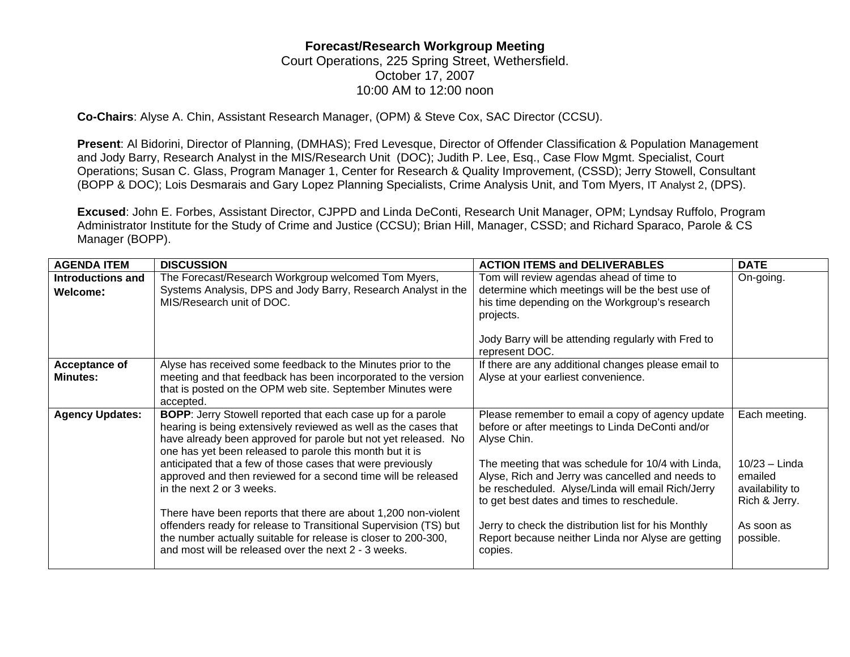## **Forecast/Research Workgroup Meeting**

Court Operations, 225 Spring Street, Wethersfield. October 17, 2007 10:00 AM to 12:00 noon

**Co-Chairs**: Alyse A. Chin, Assistant Research Manager, (OPM) & Steve Cox, SAC Director (CCSU).

**Present**: Al Bidorini, Director of Planning, (DMHAS); Fred Levesque, Director of Offender Classification & Population Management and Jody Barry, Research Analyst in the MIS/Research Unit (DOC); Judith P. Lee, Esq., Case Flow Mgmt. Specialist, Court Operations; Susan C. Glass, Program Manager 1, Center for Research & Quality Improvement, (CSSD); Jerry Stowell, Consultant (BOPP & DOC); Lois Desmarais and Gary Lopez Planning Specialists, Crime Analysis Unit, and Tom Myers, IT Analyst 2, (DPS).

**Excused**: John E. Forbes, Assistant Director, CJPPD and Linda DeConti, Research Unit Manager, OPM; Lyndsay Ruffolo, Program Administrator Institute for the Study of Crime and Justice (CCSU); Brian Hill, Manager, CSSD; and Richard Sparaco, Parole & CS Manager (BOPP).

| <b>AGENDA ITEM</b>                   | <b>DISCUSSION</b>                                                                                                                                                                                                                                                                                                                                                                                                               | <b>ACTION ITEMS and DELIVERABLES</b>                                                                                                                                                                                                                                                                                             | <b>DATE</b>                                                                     |
|--------------------------------------|---------------------------------------------------------------------------------------------------------------------------------------------------------------------------------------------------------------------------------------------------------------------------------------------------------------------------------------------------------------------------------------------------------------------------------|----------------------------------------------------------------------------------------------------------------------------------------------------------------------------------------------------------------------------------------------------------------------------------------------------------------------------------|---------------------------------------------------------------------------------|
| <b>Introductions and</b><br>Welcome: | The Forecast/Research Workgroup welcomed Tom Myers,<br>Systems Analysis, DPS and Jody Barry, Research Analyst in the<br>MIS/Research unit of DOC.                                                                                                                                                                                                                                                                               | Tom will review agendas ahead of time to<br>determine which meetings will be the best use of<br>his time depending on the Workgroup's research<br>projects.<br>Jody Barry will be attending regularly with Fred to                                                                                                               | On-going.                                                                       |
| Acceptance of<br><b>Minutes:</b>     | Alyse has received some feedback to the Minutes prior to the<br>meeting and that feedback has been incorporated to the version<br>that is posted on the OPM web site. September Minutes were<br>accepted.                                                                                                                                                                                                                       | represent DOC.<br>If there are any additional changes please email to<br>Alyse at your earliest convenience.                                                                                                                                                                                                                     |                                                                                 |
| <b>Agency Updates:</b>               | <b>BOPP:</b> Jerry Stowell reported that each case up for a parole<br>hearing is being extensively reviewed as well as the cases that<br>have already been approved for parole but not yet released. No<br>one has yet been released to parole this month but it is<br>anticipated that a few of those cases that were previously<br>approved and then reviewed for a second time will be released<br>in the next 2 or 3 weeks. | Please remember to email a copy of agency update<br>before or after meetings to Linda DeConti and/or<br>Alyse Chin.<br>The meeting that was schedule for 10/4 with Linda,<br>Alyse, Rich and Jerry was cancelled and needs to<br>be rescheduled. Alyse/Linda will email Rich/Jerry<br>to get best dates and times to reschedule. | Each meeting.<br>$10/23 -$ Linda<br>emailed<br>availability to<br>Rich & Jerry. |
|                                      | There have been reports that there are about 1,200 non-violent<br>offenders ready for release to Transitional Supervision (TS) but<br>the number actually suitable for release is closer to 200-300,<br>and most will be released over the next 2 - 3 weeks.                                                                                                                                                                    | Jerry to check the distribution list for his Monthly<br>Report because neither Linda nor Alyse are getting<br>copies.                                                                                                                                                                                                            | As soon as<br>possible.                                                         |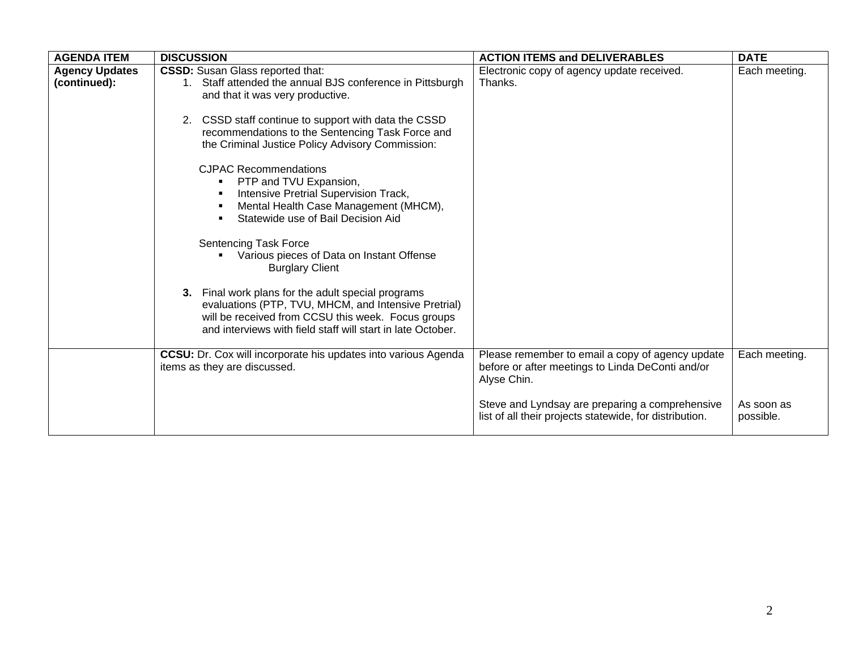| <b>AGENDA ITEM</b>                    | <b>DISCUSSION</b>                                                                                                                                                                                                                                                                                                                                                                                                                                                                                                                                                                                                                                                                                                                                                                                                                                        | <b>ACTION ITEMS and DELIVERABLES</b>                                                                                                                                                                                              | <b>DATE</b>                              |
|---------------------------------------|----------------------------------------------------------------------------------------------------------------------------------------------------------------------------------------------------------------------------------------------------------------------------------------------------------------------------------------------------------------------------------------------------------------------------------------------------------------------------------------------------------------------------------------------------------------------------------------------------------------------------------------------------------------------------------------------------------------------------------------------------------------------------------------------------------------------------------------------------------|-----------------------------------------------------------------------------------------------------------------------------------------------------------------------------------------------------------------------------------|------------------------------------------|
| <b>Agency Updates</b><br>(continued): | <b>CSSD:</b> Susan Glass reported that:<br>Staff attended the annual BJS conference in Pittsburgh<br>$1_{\cdot}$<br>and that it was very productive.<br>CSSD staff continue to support with data the CSSD<br>2.<br>recommendations to the Sentencing Task Force and<br>the Criminal Justice Policy Advisory Commission:<br><b>CJPAC Recommendations</b><br>PTP and TVU Expansion,<br>Intensive Pretrial Supervision Track,<br>Mental Health Case Management (MHCM),<br>٠<br>Statewide use of Bail Decision Aid<br><b>Sentencing Task Force</b><br>Various pieces of Data on Instant Offense<br><b>Burglary Client</b><br>3. Final work plans for the adult special programs<br>evaluations (PTP, TVU, MHCM, and Intensive Pretrial)<br>will be received from CCSU this week. Focus groups<br>and interviews with field staff will start in late October. | Electronic copy of agency update received.<br>Thanks.                                                                                                                                                                             | Each meeting.                            |
|                                       | <b>CCSU:</b> Dr. Cox will incorporate his updates into various Agenda<br>items as they are discussed.                                                                                                                                                                                                                                                                                                                                                                                                                                                                                                                                                                                                                                                                                                                                                    | Please remember to email a copy of agency update<br>before or after meetings to Linda DeConti and/or<br>Alyse Chin.<br>Steve and Lyndsay are preparing a comprehensive<br>list of all their projects statewide, for distribution. | Each meeting.<br>As soon as<br>possible. |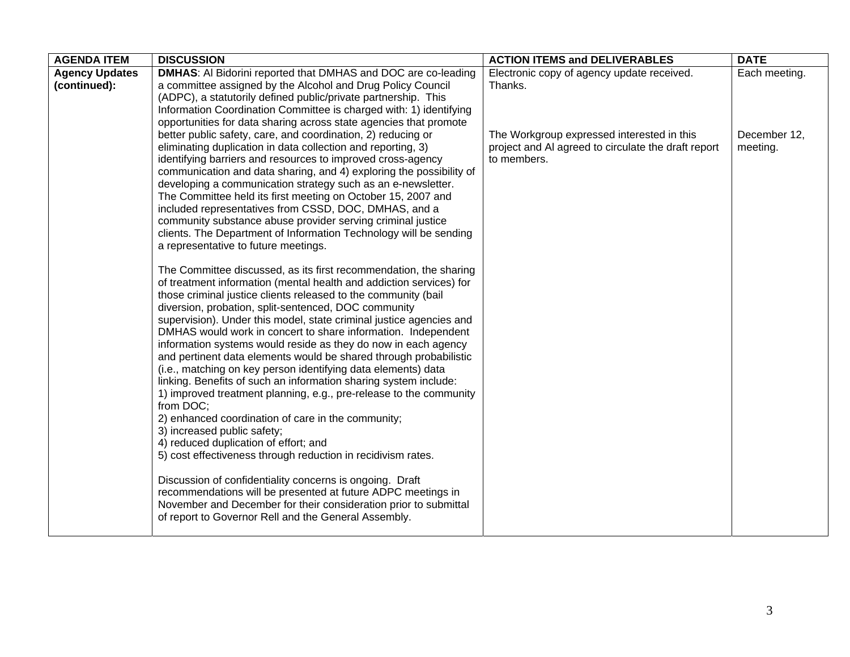| <b>AGENDA ITEM</b>    | <b>DISCUSSION</b>                                                                                                                       | <b>ACTION ITEMS and DELIVERABLES</b>                | <b>DATE</b>   |
|-----------------------|-----------------------------------------------------------------------------------------------------------------------------------------|-----------------------------------------------------|---------------|
| <b>Agency Updates</b> | <b>DMHAS:</b> Al Bidorini reported that DMHAS and DOC are co-leading                                                                    | Electronic copy of agency update received.          | Each meeting. |
| (continued):          | a committee assigned by the Alcohol and Drug Policy Council                                                                             | Thanks.                                             |               |
|                       | (ADPC), a statutorily defined public/private partnership. This                                                                          |                                                     |               |
|                       | Information Coordination Committee is charged with: 1) identifying<br>opportunities for data sharing across state agencies that promote |                                                     |               |
|                       | better public safety, care, and coordination, 2) reducing or                                                                            | The Workgroup expressed interested in this          | December 12,  |
|                       | eliminating duplication in data collection and reporting, 3)                                                                            | project and AI agreed to circulate the draft report | meeting.      |
|                       | identifying barriers and resources to improved cross-agency                                                                             | to members.                                         |               |
|                       | communication and data sharing, and 4) exploring the possibility of                                                                     |                                                     |               |
|                       | developing a communication strategy such as an e-newsletter.                                                                            |                                                     |               |
|                       | The Committee held its first meeting on October 15, 2007 and                                                                            |                                                     |               |
|                       | included representatives from CSSD, DOC, DMHAS, and a                                                                                   |                                                     |               |
|                       | community substance abuse provider serving criminal justice                                                                             |                                                     |               |
|                       | clients. The Department of Information Technology will be sending                                                                       |                                                     |               |
|                       | a representative to future meetings.                                                                                                    |                                                     |               |
|                       | The Committee discussed, as its first recommendation, the sharing                                                                       |                                                     |               |
|                       | of treatment information (mental health and addiction services) for                                                                     |                                                     |               |
|                       | those criminal justice clients released to the community (bail                                                                          |                                                     |               |
|                       | diversion, probation, split-sentenced, DOC community                                                                                    |                                                     |               |
|                       | supervision). Under this model, state criminal justice agencies and                                                                     |                                                     |               |
|                       | DMHAS would work in concert to share information. Independent                                                                           |                                                     |               |
|                       | information systems would reside as they do now in each agency                                                                          |                                                     |               |
|                       | and pertinent data elements would be shared through probabilistic                                                                       |                                                     |               |
|                       | (i.e., matching on key person identifying data elements) data<br>linking. Benefits of such an information sharing system include:       |                                                     |               |
|                       | 1) improved treatment planning, e.g., pre-release to the community                                                                      |                                                     |               |
|                       | from DOC;                                                                                                                               |                                                     |               |
|                       | 2) enhanced coordination of care in the community;                                                                                      |                                                     |               |
|                       | 3) increased public safety;                                                                                                             |                                                     |               |
|                       | 4) reduced duplication of effort; and                                                                                                   |                                                     |               |
|                       | 5) cost effectiveness through reduction in recidivism rates.                                                                            |                                                     |               |
|                       |                                                                                                                                         |                                                     |               |
|                       | Discussion of confidentiality concerns is ongoing. Draft                                                                                |                                                     |               |
|                       | recommendations will be presented at future ADPC meetings in<br>November and December for their consideration prior to submittal        |                                                     |               |
|                       | of report to Governor Rell and the General Assembly.                                                                                    |                                                     |               |
|                       |                                                                                                                                         |                                                     |               |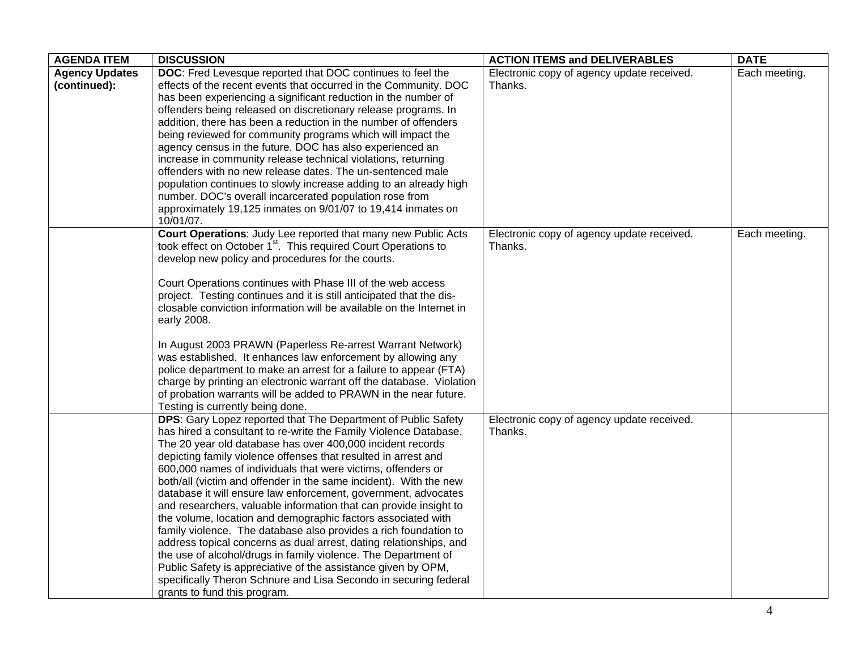| <b>AGENDA ITEM</b>                    | <b>DISCUSSION</b>                                                                                                                                                                                                                                                                                                                                                                                                                                                                                                                                                                                                                                                                                                                                                                                                                                                                                                                                                                              | <b>ACTION ITEMS and DELIVERABLES</b>                  | <b>DATE</b>   |
|---------------------------------------|------------------------------------------------------------------------------------------------------------------------------------------------------------------------------------------------------------------------------------------------------------------------------------------------------------------------------------------------------------------------------------------------------------------------------------------------------------------------------------------------------------------------------------------------------------------------------------------------------------------------------------------------------------------------------------------------------------------------------------------------------------------------------------------------------------------------------------------------------------------------------------------------------------------------------------------------------------------------------------------------|-------------------------------------------------------|---------------|
| <b>Agency Updates</b><br>(continued): | DOC: Fred Levesque reported that DOC continues to feel the<br>effects of the recent events that occurred in the Community. DOC<br>has been experiencing a significant reduction in the number of<br>offenders being released on discretionary release programs. In<br>addition, there has been a reduction in the number of offenders<br>being reviewed for community programs which will impact the                                                                                                                                                                                                                                                                                                                                                                                                                                                                                                                                                                                           | Electronic copy of agency update received.<br>Thanks. | Each meeting. |
|                                       | agency census in the future. DOC has also experienced an<br>increase in community release technical violations, returning<br>offenders with no new release dates. The un-sentenced male<br>population continues to slowly increase adding to an already high<br>number. DOC's overall incarcerated population rose from<br>approximately 19,125 inmates on 9/01/07 to 19,414 inmates on<br>10/01/07.                                                                                                                                                                                                                                                                                                                                                                                                                                                                                                                                                                                           |                                                       |               |
|                                       | Court Operations: Judy Lee reported that many new Public Acts<br>took effect on October 1 <sup>st</sup> . This required Court Operations to<br>develop new policy and procedures for the courts.<br>Court Operations continues with Phase III of the web access<br>project. Testing continues and it is still anticipated that the dis-<br>closable conviction information will be available on the Internet in<br>early 2008.                                                                                                                                                                                                                                                                                                                                                                                                                                                                                                                                                                 | Electronic copy of agency update received.<br>Thanks. | Each meeting. |
|                                       | In August 2003 PRAWN (Paperless Re-arrest Warrant Network)<br>was established. It enhances law enforcement by allowing any<br>police department to make an arrest for a failure to appear (FTA)<br>charge by printing an electronic warrant off the database. Violation<br>of probation warrants will be added to PRAWN in the near future.<br>Testing is currently being done.                                                                                                                                                                                                                                                                                                                                                                                                                                                                                                                                                                                                                |                                                       |               |
|                                       | DPS: Gary Lopez reported that The Department of Public Safety<br>has hired a consultant to re-write the Family Violence Database.<br>The 20 year old database has over 400,000 incident records<br>depicting family violence offenses that resulted in arrest and<br>600,000 names of individuals that were victims, offenders or<br>both/all (victim and offender in the same incident). With the new<br>database it will ensure law enforcement, government, advocates<br>and researchers, valuable information that can provide insight to<br>the volume, location and demographic factors associated with<br>family violence. The database also provides a rich foundation to<br>address topical concerns as dual arrest, dating relationships, and<br>the use of alcohol/drugs in family violence. The Department of<br>Public Safety is appreciative of the assistance given by OPM,<br>specifically Theron Schnure and Lisa Secondo in securing federal<br>grants to fund this program. | Electronic copy of agency update received.<br>Thanks. |               |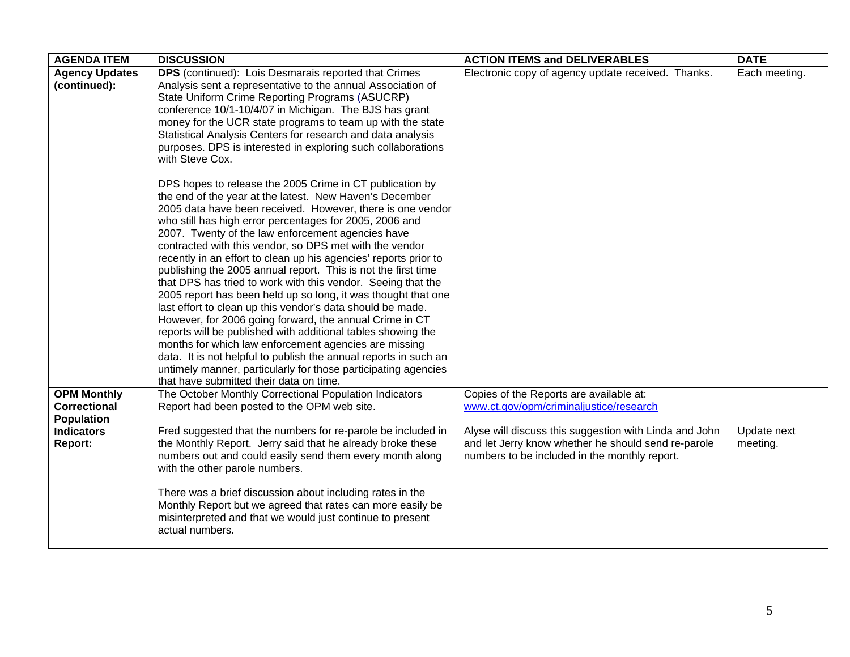| <b>AGENDA ITEM</b>    | <b>DISCUSSION</b>                                                                                                             | <b>ACTION ITEMS and DELIVERABLES</b>                   | <b>DATE</b>   |
|-----------------------|-------------------------------------------------------------------------------------------------------------------------------|--------------------------------------------------------|---------------|
| <b>Agency Updates</b> | DPS (continued): Lois Desmarais reported that Crimes                                                                          | Electronic copy of agency update received. Thanks.     | Each meeting. |
| (continued):          | Analysis sent a representative to the annual Association of                                                                   |                                                        |               |
|                       | State Uniform Crime Reporting Programs (ASUCRP)                                                                               |                                                        |               |
|                       | conference 10/1-10/4/07 in Michigan. The BJS has grant                                                                        |                                                        |               |
|                       | money for the UCR state programs to team up with the state                                                                    |                                                        |               |
|                       | Statistical Analysis Centers for research and data analysis                                                                   |                                                        |               |
|                       | purposes. DPS is interested in exploring such collaborations<br>with Steve Cox.                                               |                                                        |               |
|                       |                                                                                                                               |                                                        |               |
|                       | DPS hopes to release the 2005 Crime in CT publication by                                                                      |                                                        |               |
|                       | the end of the year at the latest. New Haven's December                                                                       |                                                        |               |
|                       | 2005 data have been received. However, there is one vendor                                                                    |                                                        |               |
|                       | who still has high error percentages for 2005, 2006 and                                                                       |                                                        |               |
|                       | 2007. Twenty of the law enforcement agencies have                                                                             |                                                        |               |
|                       | contracted with this vendor, so DPS met with the vendor                                                                       |                                                        |               |
|                       | recently in an effort to clean up his agencies' reports prior to                                                              |                                                        |               |
|                       | publishing the 2005 annual report. This is not the first time<br>that DPS has tried to work with this vendor. Seeing that the |                                                        |               |
|                       | 2005 report has been held up so long, it was thought that one                                                                 |                                                        |               |
|                       | last effort to clean up this vendor's data should be made.                                                                    |                                                        |               |
|                       | However, for 2006 going forward, the annual Crime in CT                                                                       |                                                        |               |
|                       | reports will be published with additional tables showing the                                                                  |                                                        |               |
|                       | months for which law enforcement agencies are missing                                                                         |                                                        |               |
|                       | data. It is not helpful to publish the annual reports in such an                                                              |                                                        |               |
|                       | untimely manner, particularly for those participating agencies                                                                |                                                        |               |
|                       | that have submitted their data on time.                                                                                       |                                                        |               |
| <b>OPM Monthly</b>    | The October Monthly Correctional Population Indicators                                                                        | Copies of the Reports are available at:                |               |
| <b>Correctional</b>   | Report had been posted to the OPM web site.                                                                                   | www.ct.gov/opm/criminaljustice/research                |               |
| <b>Population</b>     |                                                                                                                               |                                                        |               |
| <b>Indicators</b>     | Fred suggested that the numbers for re-parole be included in                                                                  | Alyse will discuss this suggestion with Linda and John | Update next   |
| Report:               | the Monthly Report. Jerry said that he already broke these                                                                    | and let Jerry know whether he should send re-parole    | meeting.      |
|                       | numbers out and could easily send them every month along<br>with the other parole numbers.                                    | numbers to be included in the monthly report.          |               |
|                       |                                                                                                                               |                                                        |               |
|                       | There was a brief discussion about including rates in the                                                                     |                                                        |               |
|                       | Monthly Report but we agreed that rates can more easily be                                                                    |                                                        |               |
|                       | misinterpreted and that we would just continue to present                                                                     |                                                        |               |
|                       | actual numbers.                                                                                                               |                                                        |               |
|                       |                                                                                                                               |                                                        |               |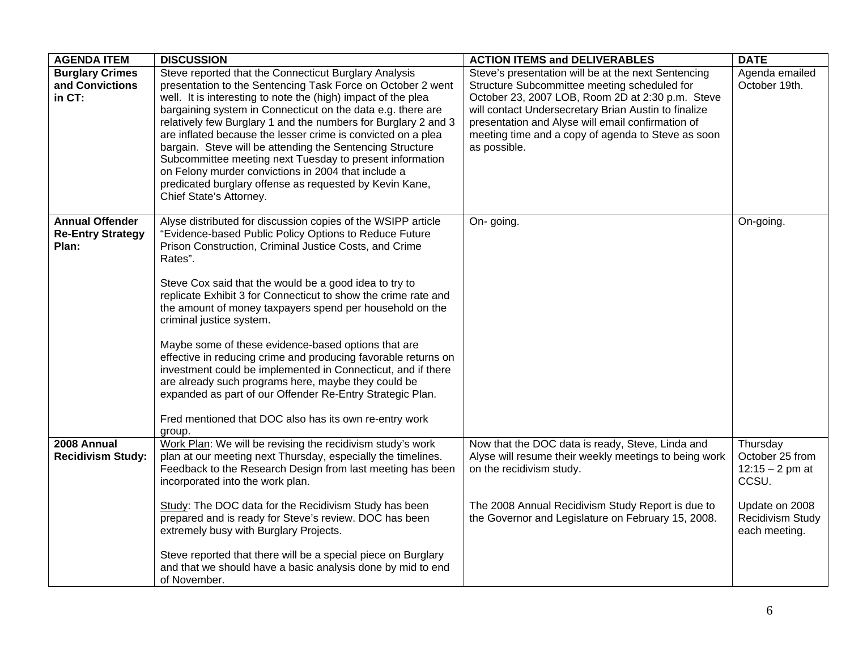| <b>AGENDA ITEM</b>                                          | <b>DISCUSSION</b>                                                                                                                                                                                                                                                                                                                                                                                                                                                                                                                                                                                                                                                                                                                                                                                | <b>ACTION ITEMS and DELIVERABLES</b>                                                                                                                                                                                                                                                                                                       | <b>DATE</b>                                                                                                                     |
|-------------------------------------------------------------|--------------------------------------------------------------------------------------------------------------------------------------------------------------------------------------------------------------------------------------------------------------------------------------------------------------------------------------------------------------------------------------------------------------------------------------------------------------------------------------------------------------------------------------------------------------------------------------------------------------------------------------------------------------------------------------------------------------------------------------------------------------------------------------------------|--------------------------------------------------------------------------------------------------------------------------------------------------------------------------------------------------------------------------------------------------------------------------------------------------------------------------------------------|---------------------------------------------------------------------------------------------------------------------------------|
| <b>Burglary Crimes</b><br>and Convictions<br>in CT:         | Steve reported that the Connecticut Burglary Analysis<br>presentation to the Sentencing Task Force on October 2 went<br>well. It is interesting to note the (high) impact of the plea<br>bargaining system in Connecticut on the data e.g. there are<br>relatively few Burglary 1 and the numbers for Burglary 2 and 3<br>are inflated because the lesser crime is convicted on a plea<br>bargain. Steve will be attending the Sentencing Structure<br>Subcommittee meeting next Tuesday to present information<br>on Felony murder convictions in 2004 that include a<br>predicated burglary offense as requested by Kevin Kane,<br>Chief State's Attorney.                                                                                                                                     | Steve's presentation will be at the next Sentencing<br>Structure Subcommittee meeting scheduled for<br>October 23, 2007 LOB, Room 2D at 2:30 p.m. Steve<br>will contact Undersecretary Brian Austin to finalize<br>presentation and Alyse will email confirmation of<br>meeting time and a copy of agenda to Steve as soon<br>as possible. | Agenda emailed<br>October 19th.                                                                                                 |
| <b>Annual Offender</b><br><b>Re-Entry Strategy</b><br>Plan: | Alyse distributed for discussion copies of the WSIPP article<br>"Evidence-based Public Policy Options to Reduce Future<br>Prison Construction, Criminal Justice Costs, and Crime<br>Rates".<br>Steve Cox said that the would be a good idea to try to<br>replicate Exhibit 3 for Connecticut to show the crime rate and<br>the amount of money taxpayers spend per household on the<br>criminal justice system.<br>Maybe some of these evidence-based options that are<br>effective in reducing crime and producing favorable returns on<br>investment could be implemented in Connecticut, and if there<br>are already such programs here, maybe they could be<br>expanded as part of our Offender Re-Entry Strategic Plan.<br>Fred mentioned that DOC also has its own re-entry work<br>group. | On-going.                                                                                                                                                                                                                                                                                                                                  | On-going.                                                                                                                       |
| 2008 Annual<br><b>Recidivism Study:</b>                     | Work Plan: We will be revising the recidivism study's work<br>plan at our meeting next Thursday, especially the timelines.<br>Feedback to the Research Design from last meeting has been<br>incorporated into the work plan.<br>Study: The DOC data for the Recidivism Study has been<br>prepared and is ready for Steve's review. DOC has been<br>extremely busy with Burglary Projects.<br>Steve reported that there will be a special piece on Burglary<br>and that we should have a basic analysis done by mid to end<br>of November.                                                                                                                                                                                                                                                        | Now that the DOC data is ready, Steve, Linda and<br>Alyse will resume their weekly meetings to being work<br>on the recidivism study.<br>The 2008 Annual Recidivism Study Report is due to<br>the Governor and Legislature on February 15, 2008.                                                                                           | Thursday<br>October 25 from<br>$12:15 - 2 \text{ pm at}$<br>CCSU.<br>Update on 2008<br><b>Recidivism Study</b><br>each meeting. |